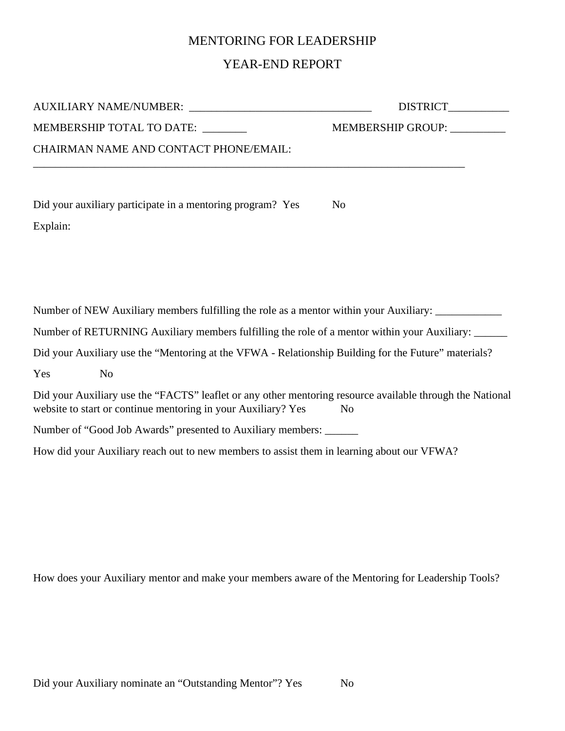## MENTORING FOR LEADERSHIP

## YEAR-END REPORT

| MEMBERSHIP TOTAL TO DATE: _______                                                                                                                                          | MEMBERSHIP GROUP: __________ |
|----------------------------------------------------------------------------------------------------------------------------------------------------------------------------|------------------------------|
| CHAIRMAN NAME AND CONTACT PHONE/EMAIL:                                                                                                                                     |                              |
| Did your auxiliary participate in a mentoring program? Yes                                                                                                                 | N <sub>0</sub>               |
| Explain:                                                                                                                                                                   |                              |
|                                                                                                                                                                            |                              |
|                                                                                                                                                                            |                              |
| Number of NEW Auxiliary members fulfilling the role as a mentor within your Auxiliary:                                                                                     |                              |
| Number of RETURNING Auxiliary members fulfilling the role of a mentor within your Auxiliary:                                                                               |                              |
| Did your Auxiliary use the "Mentoring at the VFWA - Relationship Building for the Future" materials?                                                                       |                              |
| Yes<br>N <sub>o</sub>                                                                                                                                                      |                              |
| Did your Auxiliary use the "FACTS" leaflet or any other mentoring resource available through the National<br>website to start or continue mentoring in your Auxiliary? Yes | N <sub>o</sub>               |
| Number of "Good Job Awards" presented to Auxiliary members: _______                                                                                                        |                              |

How did your Auxiliary reach out to new members to assist them in learning about our VFWA?

How does your Auxiliary mentor and make your members aware of the Mentoring for Leadership Tools?